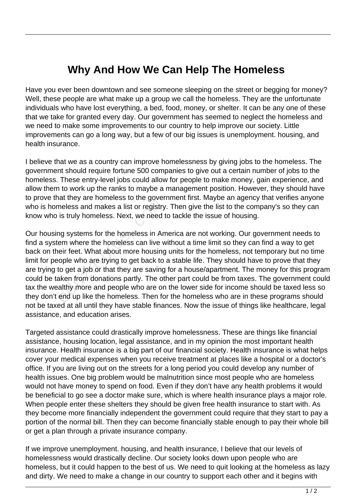## **Why And How We Can Help The Homeless**

Have you ever been downtown and see someone sleeping on the street or begging for money? Well, these people are what make up a group we call the homeless. They are the unfortunate individuals who have lost everything, a bed, food, money, or shelter. It can be any one of these that we take for granted every day. Our government has seemed to neglect the homeless and we need to make some improvements to our country to help improve our society. Little improvements can go a long way, but a few of our big issues is unemployment. housing, and health insurance.

I believe that we as a country can improve homelessness by giving jobs to the homeless. The government should require fortune 500 companies to give out a certain number of jobs to the homeless. These entry-level jobs could allow for people to make money, gain experience, and allow them to work up the ranks to maybe a management position. However, they should have to prove that they are homeless to the government first. Maybe an agency that verifies anyone who is homeless and makes a list or registry. Then give the list to the company's so they can know who is truly homeless. Next, we need to tackle the issue of housing.

Our housing systems for the homeless in America are not working. Our government needs to find a system where the homeless can live without a time limit so they can find a way to get back on their feet. What about more housing units for the homeless, not temporary but no time limit for people who are trying to get back to a stable life. They should have to prove that they are trying to get a job or that they are saving for a house/apartment. The money for this program could be taken from donations partly. The other part could be from taxes. The government could tax the wealthy more and people who are on the lower side for income should be taxed less so they don't end up like the homeless. Then for the homeless who are in these programs should not be taxed at all until they have stable finances. Now the issue of things like healthcare, legal assistance, and education arises. meless and makes a list or registry<br>is truly homeless. Next, we need to<br>ng systems for the homeless in An<br>em where the homeless can live v<br>eir feet. What about more housing<br>ople who are trying to get back to<br>to get a job o

Targeted assistance could drastically improve homelessness. These are things like financial assistance, housing location, legal assistance, and in my opinion the most important health insurance. Health insurance is a big part of our financial society. Health insurance is what helps cover your medical expenses when you receive treatment at places like a hospital or a doctor's office. If you are living out on the streets for a long period you could develop any number of health issues. One big problem would be malnutrition since most people who are homeless would not have money to spend on food. Even if they don't have any health problems it would be beneficial to go see a doctor make sure, which is where health insurance plays a major role. When people enter these shelters they should be given free health insurance to start with. As they become more financially independent the government could require that they start to pay a portion of the normal bill. Then they can become financially stable enough to pay their whole bill or get a plan through a private insurance company.

If we improve unemployment. housing, and health insurance, I believe that our levels of homelessness would drastically decline. Our society looks down upon people who are homeless, but it could happen to the best of us. We need to quit looking at the homeless as lazy and dirty. We need to make a change in our country to support each other and it begins with